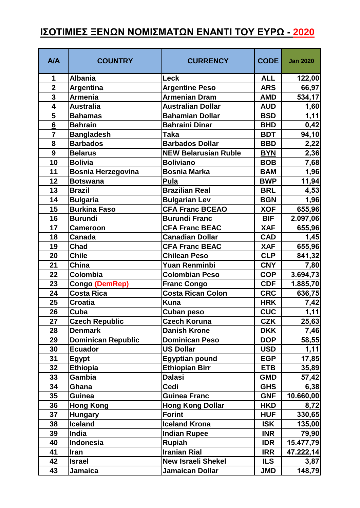## **ΙΣΟΤΙΜΙΕΣ ΞΕΝΩΝ ΝΟΜΙΣΜΑΤΩΝ ΕΝΑΝΤΙ ΤΟΥ ΕΥΡΩ - 2020**

| <b>A/A</b>      | <b>COUNTRY</b>            | <b>CURRENCY</b>             | <b>CODE</b> | <b>Jan 2020</b> |
|-----------------|---------------------------|-----------------------------|-------------|-----------------|
| 1               | <b>Albania</b>            | <b>Leck</b>                 | <b>ALL</b>  | 122,00          |
| $\overline{2}$  | <b>Argentina</b>          | <b>Argentine Peso</b>       | <b>ARS</b>  | 66,97           |
| 3               | <b>Armenia</b>            | <b>Armenian Dram</b>        | <b>AMD</b>  | 534,17          |
| 4               | <b>Australia</b>          | <b>Australian Dollar</b>    | <b>AUD</b>  | 1,60            |
| 5               | <b>Bahamas</b>            | <b>Bahamian Dollar</b>      | <b>BSD</b>  | 1,11            |
| $6\overline{6}$ | <b>Bahrain</b>            | <b>Bahraini Dinar</b>       | <b>BHD</b>  | 0,42            |
| $\overline{7}$  | <b>Bangladesh</b>         | Taka                        | <b>BDT</b>  | 94,10           |
| 8               | <b>Barbados</b>           | <b>Barbados Dollar</b>      | <b>BBD</b>  | 2,22            |
| 9               | <b>Belarus</b>            | <b>NEW Belarusian Ruble</b> | <b>BYN</b>  | 2,36            |
| 10              | <b>Bolivia</b>            | <b>Boliviano</b>            | <b>BOB</b>  | 7,68            |
| 11              | <b>Bosnia Herzegovina</b> | <b>Bosnia Marka</b>         | <b>BAM</b>  | 1,96            |
| 12              | <b>Botswana</b>           | Pula                        | <b>BWP</b>  | 11,94           |
| 13              | <b>Brazil</b>             | <b>Brazilian Real</b>       | <b>BRL</b>  | 4,53            |
| 14              | <b>Bulgaria</b>           | <b>Bulgarian Lev</b>        | <b>BGN</b>  | 1,96            |
| 15              | <b>Burkina Faso</b>       | <b>CFA Franc BCEAO</b>      | <b>XOF</b>  | 655,96          |
| 16              | <b>Burundi</b>            | <b>Burundi Franc</b>        | <b>BIF</b>  | 2.097,06        |
| 17              | <b>Cameroon</b>           | <b>CFA Franc BEAC</b>       | <b>XAF</b>  | 655,96          |
| 18              | <b>Canada</b>             | <b>Canadian Dollar</b>      | <b>CAD</b>  | 1,45            |
| 19              | <b>Chad</b>               | <b>CFA Franc BEAC</b>       | <b>XAF</b>  | 655,96          |
| 20              | <b>Chile</b>              | <b>Chilean Peso</b>         | <b>CLP</b>  | 841,32          |
| 21              | China                     | <b>Yuan Renminbi</b>        | <b>CNY</b>  | 7,80            |
| 22              | Colombia                  | <b>Colombian Peso</b>       | <b>COP</b>  | 3.694,73        |
| 23              | Congo (DemRep)            | <b>Franc Congo</b>          | <b>CDF</b>  | 1.885,70        |
| 24              | <b>Costa Rica</b>         | <b>Costa Rican Colon</b>    | <b>CRC</b>  | 636,75          |
| 25              | <b>Croatia</b>            | <b>Kuna</b>                 | <b>HRK</b>  | 7,42            |
| 26              | Cuba                      | <b>Cuban peso</b>           | <b>CUC</b>  | 1,11            |
| 27              | <b>Czech Republic</b>     | <b>Czech Koruna</b>         | <b>CZK</b>  | 25,63           |
| 28              | <b>Denmark</b>            | <b>Danish Krone</b>         | <b>DKK</b>  | 7,46            |
| 29              | <b>Dominican Republic</b> | <b>Dominican Peso</b>       | <b>DOP</b>  | 58,55           |
| 30              | <b>Ecuador</b>            | <b>US Dollar</b>            | <b>USD</b>  | 1,11            |
| 31              | <b>Egypt</b>              | <b>Egyptian pound</b>       | <b>EGP</b>  | 17,85           |
| 32              | <b>Ethiopia</b>           | <b>Ethiopian Birr</b>       | <b>ETB</b>  | 35,89           |
| 33              | Gambia                    | <b>Dalasi</b>               | <b>GMD</b>  | 57,42           |
| 34              | Ghana                     | <b>Cedi</b>                 | <b>GHS</b>  | 6,38            |
| 35              | <b>Guinea</b>             | <b>Guinea Franc</b>         | <b>GNF</b>  | 10.660,00       |
| 36              | <b>Hong Kong</b>          | <b>Hong Kong Dollar</b>     | <b>HKD</b>  | 8,72            |
| 37              | <b>Hungary</b>            | <b>Forint</b>               | <b>HUF</b>  | 330,65          |
| 38              | <b>Iceland</b>            | <b>Iceland Krona</b>        | <b>ISK</b>  | 135,00          |
| 39              | India                     | <b>Indian Rupee</b>         | <b>INR</b>  | 79,90           |
| 40              | <b>Indonesia</b>          | <b>Rupiah</b>               | <b>IDR</b>  | 15.477,79       |
| 41              | Iran                      | <b>Iranian Rial</b>         | <b>IRR</b>  | 47.222,14       |
| 42              | <b>Israel</b>             | <b>New Israeli Shekel</b>   | <b>ILS</b>  | 3,87            |
| 43              | Jamaica                   | Jamaican Dollar             | <b>JMD</b>  | 148,79          |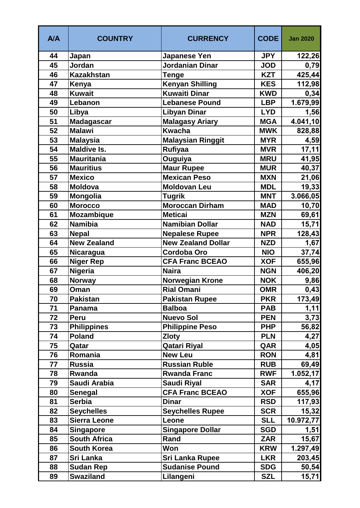| <b>A/A</b> | <b>COUNTRY</b>      | <b>CURRENCY</b>           | <b>CODE</b> | <b>Jan 2020</b> |
|------------|---------------------|---------------------------|-------------|-----------------|
| 44         | Japan               | <b>Japanese Yen</b>       | <b>JPY</b>  | 122,26          |
| 45         | Jordan              | Jordanian Dinar           | <b>JOD</b>  | 0,79            |
| 46         | <b>Kazakhstan</b>   | <b>Tenge</b>              | <b>KZT</b>  | 425,44          |
| 47         | Kenya               | <b>Kenyan Shilling</b>    | <b>KES</b>  | 112,98          |
| 48         | <b>Kuwait</b>       | <b>Kuwaiti Dinar</b>      | <b>KWD</b>  | 0,34            |
| 49         | Lebanon             | <b>Lebanese Pound</b>     | <b>LBP</b>  | 1.679,99        |
| 50         | Libya               | <b>Libyan Dinar</b>       | <b>LYD</b>  | 1,56            |
| 51         | Madagascar          | <b>Malagasy Ariary</b>    | <b>MGA</b>  | 4.041,10        |
| 52         | <b>Malawi</b>       | <b>Kwacha</b>             | <b>MWK</b>  | 828,88          |
| 53         | <b>Malaysia</b>     | <b>Malaysian Ringgit</b>  | <b>MYR</b>  | 4,59            |
| 54         | <b>Maldive Is.</b>  | <b>Rufiyaa</b>            | <b>MVR</b>  | 17,11           |
| 55         | <b>Mauritania</b>   | Ouguiya                   | <b>MRU</b>  | 41,95           |
| 56         | <b>Mauritius</b>    | <b>Maur Rupee</b>         | <b>MUR</b>  | 40,37           |
| 57         | <b>Mexico</b>       | <b>Mexican Peso</b>       | <b>MXN</b>  | 21,06           |
| 58         | <b>Moldova</b>      | <b>Moldovan Leu</b>       | <b>MDL</b>  | 19,33           |
| 59         | Mongolia            | <b>Tugrik</b>             | <b>MNT</b>  | 3.066,05        |
| 60         | <b>Morocco</b>      | <b>Moroccan Dirham</b>    | <b>MAD</b>  | 10,70           |
| 61         | <b>Mozambique</b>   | <b>Meticai</b>            | <b>MZN</b>  | 69,61           |
| 62         | <b>Namibia</b>      | <b>Namibian Dollar</b>    | <b>NAD</b>  | 15,71           |
| 63         | <b>Nepal</b>        | <b>Nepalese Rupee</b>     | <b>NPR</b>  | 128,43          |
| 64         | <b>New Zealand</b>  | <b>New Zealand Dollar</b> | <b>NZD</b>  | 1,67            |
| 65         | Nicaragua           | Cordoba Oro               | <b>NIO</b>  | 37,74           |
| 66         | <b>Niger Rep</b>    | <b>CFA Franc BCEAO</b>    | <b>XOF</b>  | 655,96          |
| 67         | <b>Nigeria</b>      | <b>Naira</b>              | <b>NGN</b>  | 406,20          |
| 68         | Norway              | <b>Norwegian Krone</b>    | <b>NOK</b>  | 9,86            |
| 69         | Oman                | <b>Rial Omani</b>         | <b>OMR</b>  | 0,43            |
| 70         | <b>Pakistan</b>     | <b>Pakistan Rupee</b>     | <b>PKR</b>  | 173,49          |
| 71         | Panama              | <b>Balboa</b>             | <b>PAB</b>  | 1,11            |
| 72         | Peru                | <b>Nuevo Sol</b>          | <b>PEN</b>  | 3,73            |
| 73         | <b>Philippines</b>  | <b>Philippine Peso</b>    | <b>PHP</b>  | 56,82           |
| 74         | <b>Poland</b>       | <b>Zloty</b>              | <b>PLN</b>  | 4,27            |
| 75         | Qatar               | <b>Qatari Riyal</b>       | QAR         | 4,05            |
| 76         | Romania             | <b>New Leu</b>            | <b>RON</b>  | 4,81            |
| 77         | <b>Russia</b>       | <b>Russian Ruble</b>      | <b>RUB</b>  | 69,49           |
| 78         | Rwanda              | <b>Rwanda Franc</b>       | <b>RWF</b>  | 1.052, 17       |
| 79         | Saudi Arabia        | <b>Saudi Riyal</b>        | <b>SAR</b>  | 4,17            |
| 80         | <b>Senegal</b>      | <b>CFA Franc BCEAO</b>    | <b>XOF</b>  | 655,96          |
| 81         | <b>Serbia</b>       | <b>Dinar</b>              | <b>RSD</b>  | 117,93          |
| 82         | <b>Seychelles</b>   | <b>Seychelles Rupee</b>   | <b>SCR</b>  | 15,32           |
| 83         | <b>Sierra Leone</b> | Leone                     | <b>SLL</b>  | 10.972,77       |
| 84         | <b>Singapore</b>    | <b>Singapore Dollar</b>   | <b>SGD</b>  | 1,51            |
| 85         | <b>South Africa</b> | Rand                      | <b>ZAR</b>  | 15,67           |
| 86         | <b>South Korea</b>  | Won                       | <b>KRW</b>  | 1.297,49        |
| 87         | <b>Sri Lanka</b>    | <b>Sri Lanka Rupee</b>    | <b>LKR</b>  | 203,45          |
| 88         | <b>Sudan Rep</b>    | <b>Sudanise Pound</b>     | <b>SDG</b>  | 50,54           |
| 89         | <b>Swaziland</b>    | Lilangeni                 | <b>SZL</b>  | 15,71           |